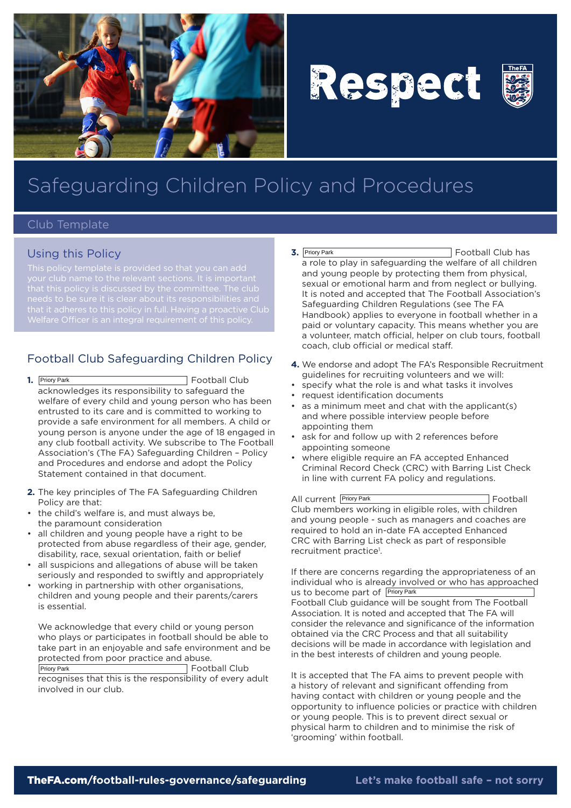

# Respect



## Safeguarding Children Policy and Procedures

#### Club Template

#### Using this Policy

that it adheres to this policy in full. Having a proactive Club

### Football Club Safeguarding Children Policy

- **1.** Football Club acknowledges its responsibility to safeguard the welfare of every child and young person who has been entrusted to its care and is committed to working to provide a safe environment for all members. A child or young person is anyone under the age of 18 engaged in any club football activity. We subscribe to The Football Association's (The FA) Safeguarding Children – Policy and Procedures and endorse and adopt the Policy Statement contained in that document. 1. Priory Park
- **2.** The key principles of The FA Safeguarding Children Policy are that:
- the child's welfare is, and must always be, the paramount consideration
- all children and young people have a right to be protected from abuse regardless of their age, gender, disability, race, sexual orientation, faith or belief
- all suspicions and allegations of abuse will be taken seriously and responded to swiftly and appropriately
- working in partnership with other organisations, children and young people and their parents/carers is essential.

We acknowledge that every child or young person who plays or participates in football should be able to take part in an enjoyable and safe environment and be protected from poor practice and abuse. Football Club Priory Park

recognises that this is the responsibility of every adult involved in our club.

- **3.** Football Club has a role to play in safeguarding the welfare of all children and young people by protecting them from physical, sexual or emotional harm and from neglect or bullying. It is noted and accepted that The Football Association's Safeguarding Children Regulations (see The FA Handbook) applies to everyone in football whether in a paid or voluntary capacity. This means whether you are a volunteer, match official, helper on club tours, football coach, club official or medical staff. 3. Priory Park
- **4.** We endorse and adopt The FA's Responsible Recruitment guidelines for recruiting volunteers and we will:
- • specify what the role is and what tasks it involves
- • request identification documents
- • as a minimum meet and chat with the applicant(s) and where possible interview people before appointing them
- ask for and follow up with 2 references before appointing someone
- where eligible require an FA accepted Enhanced Criminal Record Check (CRC) with Barring List Check in line with current FA policy and regulations.

All current Priory Park **Football** Football Club members working in eligible roles, with children and young people - such as managers and coaches are required to hold an in-date FA accepted Enhanced CRC with Barring List check as part of responsible recruitment practice<sup>1</sup>.

If there are concerns regarding the appropriateness of an individual who is already involved or who has approached us to become part of Priory Park Football Club guidance will be sought from The Football Association. It is noted and accepted that The FA will consider the relevance and significance of the information obtained via the CRC Process and that all suitability decisions will be made in accordance with legislation and in the best interests of children and young people.

It is accepted that The FA aims to prevent people with a history of relevant and significant offending from having contact with children or young people and the opportunity to influence policies or practice with children or young people. This is to prevent direct sexual or physical harm to children and to minimise the risk of 'grooming' within football.